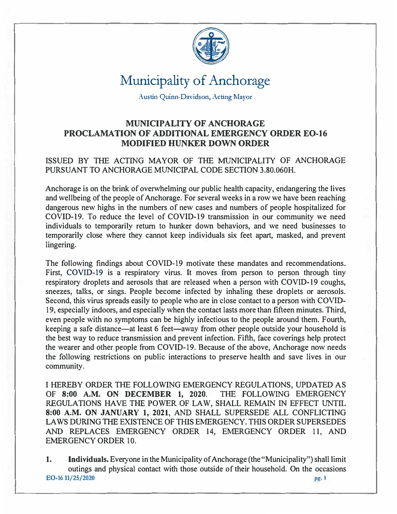

Austin Quinn-Davidson, Acting Mayor

#### **MUNICIPALITY OF ANCHORAGE PROCLAMATION OF ADDITIONAL EMERGENCY ORDER EO-16 MODIFIED HUNKER DOWN ORDER**

#### ISSUED BY THE ACTING MAYOR OF THE MUNICIPALITY OF ANCHORAGE PURSUANT TO ANCHORAGE MUNICIPAL CODE SECTION 3.80.060H.

Anchorage is on the brink of overwhelming our public health capacity, endangering the lives and wellbeing of the people of Anchorage. For several weeks in a row we have been reaching dangerous new highs in the numbers of new cases and numbers of people hospitalized for COVID-19. To reduce the level of COVID-19 transmission in our community we need individuals to temporarily return to hunker down behaviors, and we need businesses to temporarily close where they cannot keep individuals six feet apart, masked, and prevent lingering.

The following findings about COVID-19 motivate these mandates and recommendations. First, COVID-19 is a respiratory virus. It moves from person to person through tiny respiratory droplets and aerosols that are released when a person with COVID-19 coughs, sneezes, talks, or sings. People become infected by inhaling these droplets or aerosols. Second, this virus spreads easily to people who are in close contact to a person with COVID-19, especially indoors, and especially when the contact lasts more than fifteen minutes. Third, even people with no symptoms can be highly infectious to the people around them. Fourth, keeping a safe distance—at least 6 feet—away from other people outside your household is the best way to reduce transmission and prevent infection. Fifth, face coverings help protect the wearer and other people from COVID-19. Because of the above, Anchorage now needs the following restrictions on public interactions to preserve health and save lives in our community.

I HEREBY ORDER THE FOLLOWING EMERGENCY REGULATIONS, UPDATED AS OF **8:00 A.M. ON DECEMBER** I, **2020.** THE FOLLOWING EMERGENCY REGULATIONS HAVE THE POWER OF LAW, SHALL REMAIN IN EFFECT UNTIL **8:00 A.M. ON JANUARY** I, **2021,** AND SHALL SUPERSEDE ALL CONFLICTING LAWS DURING THE EXISTENCE OF THIS EMERGENCY. THIS ORDER SUPERSEDES AND REPLACES EMERGENCY ORDER 14, EMERGENCY ORDER 11, AND EMERGENCY ORDER 10.

I. **Individuals.** Everyone in the Municipality of Anchorage (the "Municipality") shall limit outings and physical contact with those outside of their household. On the occasions **EO-16 11/25/2020** pg. 1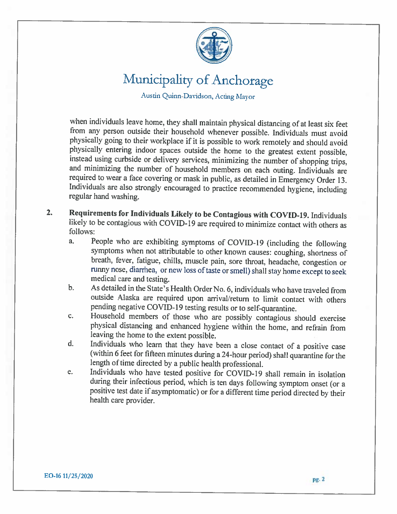

Austin Quinn-Davidson, Acting Mayor

when individuals leave home, they shall maintain physical distancing of at least six feet from any person outside their household whenever possible. Individuals must avoid physically going to their workplace if it is possible to work remotely and should avoid physically entering indoor spaces outside the home to the greatest extent possible, instead using curbside or delivery services, minimizing the number of shopping trips, and minimizing the number of household members on each outing. Individuals are required to wear a face covering or mask in public, as detailed in Emergency Order 13. Individuals are also strongly encouraged to practice recommended hygiene, including regular hand washing.

- $2.$ Requirements for Individuals Likely to be Contagious with COVID-19. Individuals likely to be contagious with COVID-19 are required to minimize contact with others as follows:
	- People who are exhibiting symptoms of COVID-19 (including the following a. symptoms when not attributable to other known causes: coughing, shortness of breath, fever, fatigue, chills, muscle pain, sore throat, headache, congestion or runny nose, diarrhea, or new loss of taste or smell) shall stay home except to seek medical care and testing.
	- As detailed in the State's Health Order No. 6, individuals who have traveled from  $b.$ outside Alaska are required upon arrival/return to limit contact with others pending negative COVID-19 testing results or to self-quarantine.
	- Household members of those who are possibly contagious should exercise  $\mathbf{c}$ . physical distancing and enhanced hygiene within the home, and refrain from leaving the home to the extent possible.
	- Individuals who learn that they have been a close contact of a positive case d. (within 6 feet for fifteen minutes during a 24-hour period) shall quarantine for the length of time directed by a public health professional.
	- Individuals who have tested positive for COVID-19 shall remain in isolation e. during their infectious period, which is ten days following symptom onset (or a positive test date if asymptomatic) or for a different time period directed by their health care provider.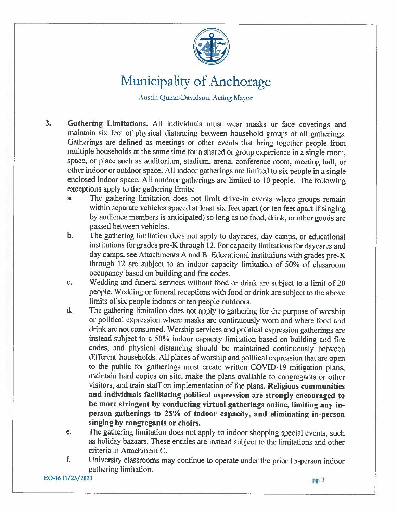

Austin Quinn Davidson, Acting Mayor

- $3<sub>1</sub>$ Gathering Limitations. All individuals must wear masks or face coverings and maintain six feet of physical distancing between household groups at all gatherings. Gatherings are defined as meetings or other events that bring together people from multiple households at the same time for a shared or group experience in a single room, space, or place such as auditorium, stadium, arena, conference room, meeting hall, or other indoor or outdoor space. All indoor gatherings are limited to six people in a single enclosed indoor space. All outdoor gatherings are limited to 10 people. The following exceptions apply to the gathering limits:
	- The gathering limitation does not limit drive-in events where groups remain  $a<sub>r</sub>$ within separate vehicles spaced at least six feet apart (or ten feet apart if singing by audience members is anticipated) so long as no food, drink, or other goods are passed between vehicles.
	- The gathering limitation does not apply to daycares, day camps, or educational  $b.$ institutions for grades pre-K through 12. For capacity limitations for daycares and day camps, see Attachments A and B. Educational institutions with grades pre-K through 12 are subject to an indoor capacity limitation of 50% of classroom occupancy based on building and fire codes.
	- Wedding and funeral services without food or drink are subject to a limit of 20 c. people. Wedding or funeral receptions with food or drink are subject to the above limits of six people indoors or ten people outdoors.
	- $d_{\cdot}$ The gathering limitation does not apply to gathering for the purpose of worship or political expression where masks are continuously worn and where food and drink are not consumed. Worship services and political expression gatherings are instead subject to a 50% indoor capacity limitation based on building and fire codes, and physical distancing should be maintained continuously between different households. All places of worship and political expression that are open to the public for gatherings must create written COVID-19 mitigation plans, maintain hard copies on site, make the plans available to congregants or other visitors, and train staff on implementation of the plans. Religious communities and individuals facilitating political expression are strongly encouraged to be more stringent by conducting virtual gatherings online, limiting any inperson gatherings to 25% of indoor capacity, and eliminating in-person singing by congregants or choirs.
	- The gathering limitation does not apply to indoor shopping special events, such e. as holiday bazaars. These entities are instead subject to the limitations and other criteria in Attachment C.
	- f. University classrooms may continue to operate under the prior 15-person indoor gathering limitation.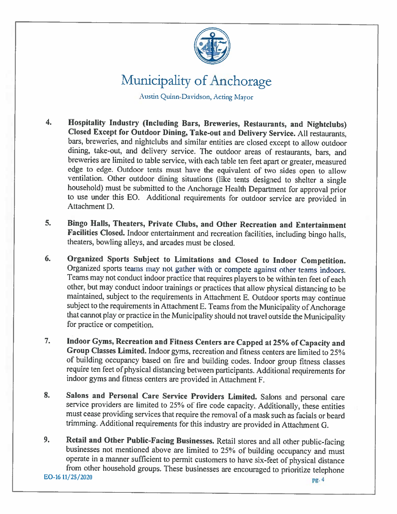

Austin Quinn-Davidson, Acting Mayor

- Hospitality Industry (Including Bars, Breweries, Restaurants, and Nightclubs)  $\overline{4}$ . Closed Except for Outdoor Dining, Take-out and Delivery Service. All restaurants, bars, breweries, and nightclubs and similar entities are closed except to allow outdoor dining, take-out, and delivery service. The outdoor areas of restaurants, bars, and breweries are limited to table service, with each table ten feet apart or greater, measured edge to edge. Outdoor tents must have the equivalent of two sides open to allow ventilation. Other outdoor dining situations (like tents designed to shelter a single household) must be submitted to the Anchorage Health Department for approval prior to use under this EO. Additional requirements for outdoor service are provided in Attachment D
- 5. Bingo Halls, Theaters, Private Clubs, and Other Recreation and Entertainment Facilities Closed. Indoor entertainment and recreation facilities, including bingo halls, theaters, bowling alleys, and arcades must be closed.
- Organized Sports Subject to Limitations and Closed to Indoor Competition. 6. Organized sports teams may not gather with or compete against other teams indoors. Teams may not conduct indoor practice that requires players to be within ten feet of each other, but may conduct indoor trainings or practices that allow physical distancing to be maintained, subject to the requirements in Attachment E. Outdoor sports may continue subject to the requirements in Attachment E. Teams from the Municipality of Anchorage that cannot play or practice in the Municipality should not travel outside the Municipality for practice or competition.
- Indoor Gyms, Recreation and Fitness Centers are Capped at 25% of Capacity and  $7.$ Group Classes Limited. Indoor gyms, recreation and fitness centers are limited to 25% of building occupancy based on fire and building codes. Indoor group fitness classes require ten feet of physical distancing between participants. Additional requirements for indoor gyms and fitness centers are provided in Attachment F.
- Salons and Personal Care Service Providers Limited. Salons and personal care 8. service providers are limited to 25% of fire code capacity. Additionally, these entities must cease providing services that require the removal of a mask such as facials or beard trimming. Additional requirements for this industry are provided in Attachment G.
- Retail and Other Public-Facing Businesses. Retail stores and all other public-facing 9. businesses not mentioned above are limited to 25% of building occupancy and must operate in a manner sufficient to permit customers to have six-feet of physical distance from other household groups. These businesses are encouraged to prioritize telephone EO-16 11/25/2020 pg. 4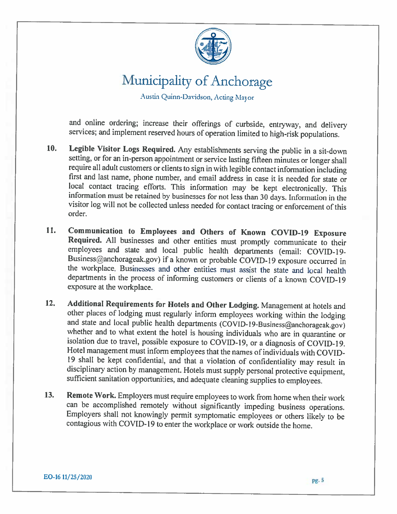

Austin Quinn-Davidson, Acting Mayor

and online ordering; increase their offerings of curbside, entryway, and delivery services; and implement reserved hours of operation limited to high-risk populations.

- 10. Legible Visitor Logs Required. Any establishments serving the public in a sit-down setting, or for an in-person appointment or service lasting fifteen minutes or longer shall require all adult customers or clients to sign in with legible contact information including first and last name, phone number, and email address in case it is needed for state or local contact tracing efforts. This information may be kept electronically. This information must be retained by businesses for not less than 30 days. Information in the visitor log will not be collected unless needed for contact tracing or enforcement of this order.
- Communication to Employees and Others of Known COVID-19 Exposure 11. Required. All businesses and other entities must promptly communicate to their employees and state and local public health departments (email: COVID-19-Business@anchorageak.gov) if a known or probable COVID-19 exposure occurred in the workplace. Businesses and other entities must assist the state and local health departments in the process of informing customers or clients of a known COVID-19 exposure at the workplace.
- Additional Requirements for Hotels and Other Lodging. Management at hotels and  $12.$ other places of lodging must regularly inform employees working within the lodging and state and local public health departments (COVID-19-Business@anchorageak.gov) whether and to what extent the hotel is housing individuals who are in quarantine or isolation due to travel, possible exposure to COVID-19, or a diagnosis of COVID-19. Hotel management must inform employees that the names of individuals with COVID-19 shall be kept confidential, and that a violation of confidentiality may result in disciplinary action by management. Hotels must supply personal protective equipment, sufficient sanitation opportunities, and adequate cleaning supplies to employees.
- Remote Work. Employers must require employees to work from home when their work  $13.$ can be accomplished remotely without significantly impeding business operations. Employers shall not knowingly permit symptomatic employees or others likely to be contagious with COVID-19 to enter the workplace or work outside the home.